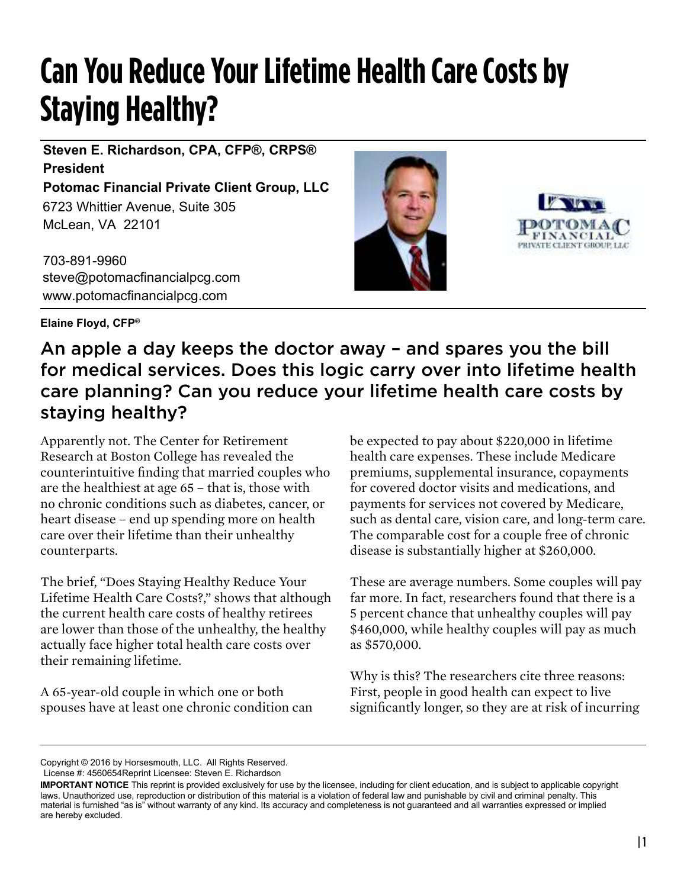## **Can You Reduce Your Lifetime Health Care Costs by Staying Healthy?**

6723 Whittier Avenue, Suite 305 McLean, VA 22101 **Steven E. Richardson, CPA, CFP®, CRPS® President Potomac Financial Private Client Group, LLC**

703-891-9960 steve@potomacfinancialpcg.com www.potomacfinancialpcg.com





**Elaine Floyd, CFP®**

## An apple a day keeps the doctor away – and spares you the bill for medical services. Does this logic carry over into lifetime health care planning? Can you reduce your lifetime health care costs by staying healthy?

Apparently not. The Center for Retirement Research at Boston College has revealed the counterintuitive finding that married couples who are the healthiest at age 65 – that is, those with no chronic conditions such as diabetes, cancer, or heart disease – end up spending more on health care over their lifetime than their unhealthy counterparts.

The brief, "Does Staying Healthy Reduce Your Lifetime Health Care Costs?," shows that although the current health care costs of healthy retirees are lower than those of the unhealthy, the healthy actually face higher total health care costs over their remaining lifetime.

A 65-year-old couple in which one or both spouses have at least one chronic condition can

be expected to pay about \$220,000 in lifetime health care expenses. These include Medicare premiums, supplemental insurance, copayments for covered doctor visits and medications, and payments for services not covered by Medicare, such as dental care, vision care, and long-term care. The comparable cost for a couple free of chronic disease is substantially higher at \$260,000.

These are average numbers. Some couples will pay far more. In fact, researchers found that there is a 5 percent chance that unhealthy couples will pay \$460,000, while healthy couples will pay as much as \$570,000.

Why is this? The researchers cite three reasons: First, people in good health can expect to live significantly longer, so they are at risk of incurring

Copyright © 2016 by Horsesmouth, LLC. All Rights Reserved. License #: 4560654Reprint Licensee: Steven E. Richardson

**IMPORTANT NOTICE** This reprint is provided exclusively for use by the licensee, including for client education, and is subject to applicable copyright laws. Unauthorized use, reproduction or distribution of this material is a violation of federal law and punishable by civil and criminal penalty. This material is furnished "as is" without warranty of any kind. Its accuracy and completeness is not guaranteed and all warranties expressed or implied are hereby excluded.